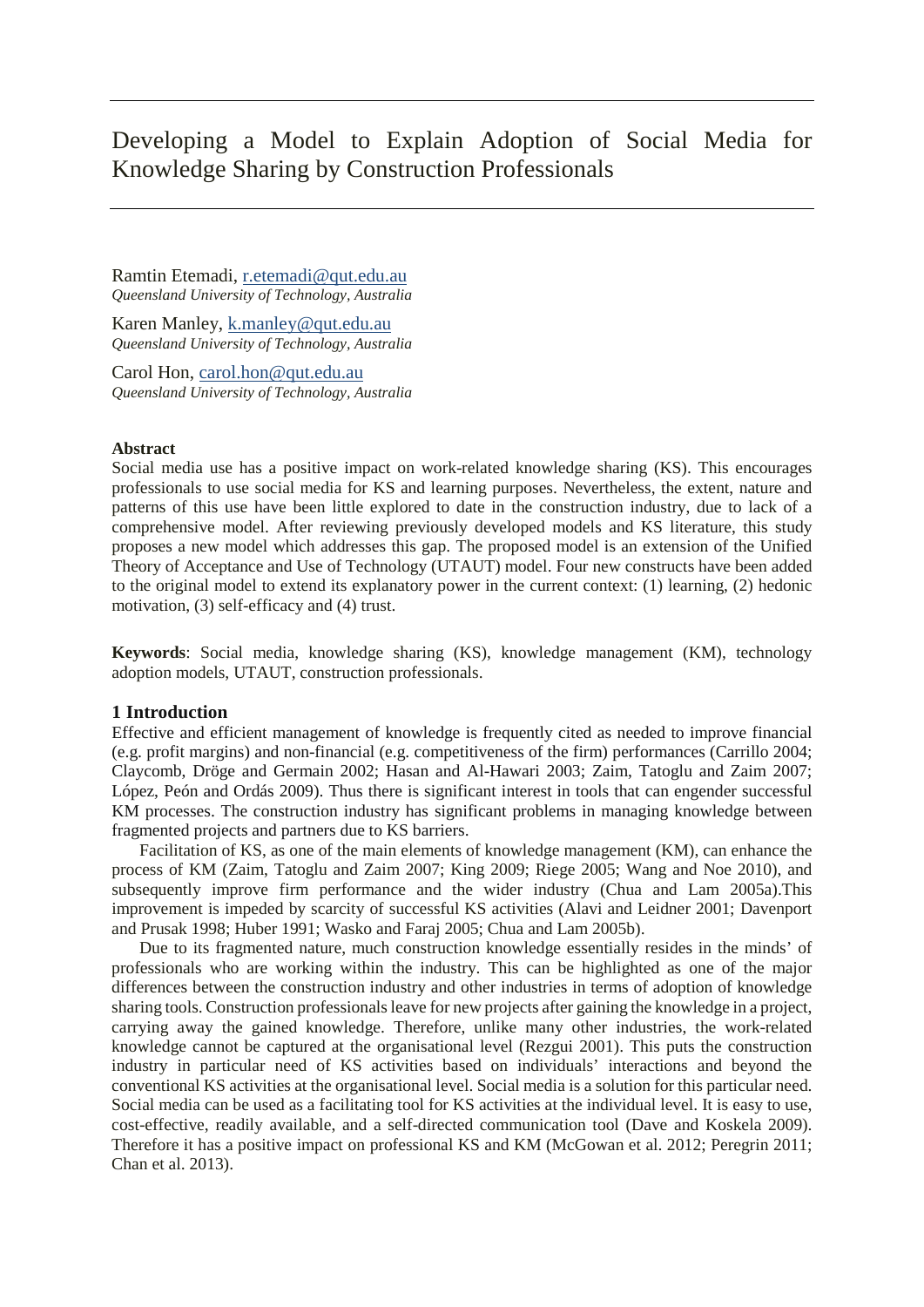# Developing a Model to Explain Adoption of Social Media for Knowledge Sharing by Construction Professionals

Ramtin Etemadi, [r.etemadi@qut.edu.au](mailto:r.etemadi@qut.edu.au) *Queensland University of Technology, Australia*

Karen Manley, [k.manley@qut.edu.au](mailto:k.manley@qut.edu.au) *Queensland University of Technology, Australia*

Carol Hon, [carol.hon@qut.edu.au](mailto:carol.hon@qut.edu.au) *Queensland University of Technology, Australia*

#### **Abstract**

Social media use has a positive impact on work-related knowledge sharing (KS). This encourages professionals to use social media for KS and learning purposes. Nevertheless, the extent, nature and patterns of this use have been little explored to date in the construction industry, due to lack of a comprehensive model. After reviewing previously developed models and KS literature, this study proposes a new model which addresses this gap. The proposed model is an extension of the Unified Theory of Acceptance and Use of Technology (UTAUT) model. Four new constructs have been added to the original model to extend its explanatory power in the current context: (1) learning, (2) hedonic motivation, (3) self-efficacy and (4) trust.

**Keywords**: Social media, knowledge sharing (KS), knowledge management (KM), technology adoption models, UTAUT, construction professionals.

## **1 Introduction**

Effective and efficient management of knowledge is frequently cited as needed to improve financial (e.g. profit margins) and non-financial (e.g. competitiveness of the firm) performances (Carrillo 2004; Claycomb, Dröge and Germain 2002; Hasan and Al-Hawari 2003; Zaim, Tatoglu and Zaim 2007; López, Peón and Ordás 2009). Thus there is significant interest in tools that can engender successful KM processes. The construction industry has significant problems in managing knowledge between fragmented projects and partners due to KS barriers.

Facilitation of KS, as one of the main elements of knowledge management (KM), can enhance the process of KM (Zaim, Tatoglu and Zaim 2007; King 2009; Riege 2005; Wang and Noe 2010), and subsequently improve firm performance and the wider industry (Chua and Lam 2005a).This improvement is impeded by scarcity of successful KS activities (Alavi and Leidner 2001; Davenport and Prusak 1998; Huber 1991; Wasko and Faraj 2005; Chua and Lam 2005b).

Due to its fragmented nature, much construction knowledge essentially resides in the minds' of professionals who are working within the industry. This can be highlighted as one of the major differences between the construction industry and other industries in terms of adoption of knowledge sharing tools. Construction professionals leave for new projects after gaining the knowledge in a project, carrying away the gained knowledge. Therefore, unlike many other industries, the work-related knowledge cannot be captured at the organisational level (Rezgui 2001). This puts the construction industry in particular need of KS activities based on individuals' interactions and beyond the conventional KS activities at the organisational level. Social media is a solution for this particular need. Social media can be used as a facilitating tool for KS activities at the individual level. It is easy to use, cost-effective, readily available, and a self-directed communication tool (Dave and Koskela 2009). Therefore it has a positive impact on professional KS and KM (McGowan et al. 2012; Peregrin 2011; Chan et al. 2013).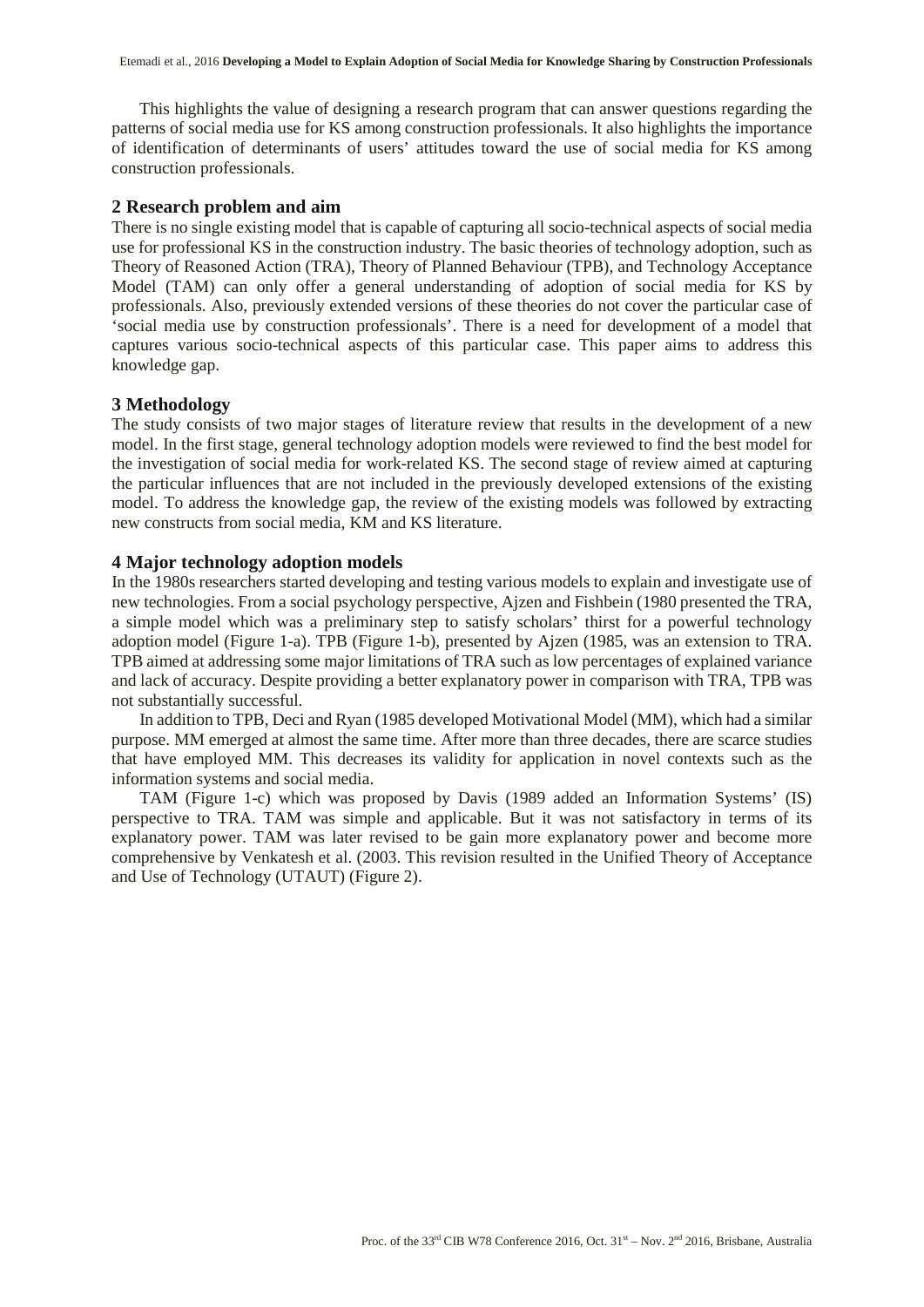This highlights the value of designing a research program that can answer questions regarding the patterns of social media use for KS among construction professionals. It also highlights the importance of identification of determinants of users' attitudes toward the use of social media for KS among construction professionals.

#### **2 Research problem and aim**

There is no single existing model that is capable of capturing all socio-technical aspects of social media use for professional KS in the construction industry. The basic theories of technology adoption, such as Theory of Reasoned Action (TRA), Theory of Planned Behaviour (TPB), and Technology Acceptance Model (TAM) can only offer a general understanding of adoption of social media for KS by professionals. Also, previously extended versions of these theories do not cover the particular case of 'social media use by construction professionals'. There is a need for development of a model that captures various socio-technical aspects of this particular case. This paper aims to address this knowledge gap.

# **3 Methodology**

The study consists of two major stages of literature review that results in the development of a new model. In the first stage, general technology adoption models were reviewed to find the best model for the investigation of social media for work-related KS. The second stage of review aimed at capturing the particular influences that are not included in the previously developed extensions of the existing model. To address the knowledge gap, the review of the existing models was followed by extracting new constructs from social media, KM and KS literature.

#### **4 Major technology adoption models**

In the 1980s researchers started developing and testing various models to explain and investigate use of new technologies. From a social psychology perspective, Ajzen and Fishbein (1980 presented the TRA, a simple model which was a preliminary step to satisfy scholars' thirst for a powerful technology adoption model (Figure 1-a). TPB (Figure 1-b), presented by Ajzen (1985, was an extension to TRA. TPB aimed at addressing some major limitations of TRA such as low percentages of explained variance and lack of accuracy. Despite providing a better explanatory power in comparison with TRA, TPB was not substantially successful.

In addition to TPB, Deci and Ryan (1985 developed Motivational Model (MM), which had a similar purpose. MM emerged at almost the same time. After more than three decades, there are scarce studies that have employed MM. This decreases its validity for application in novel contexts such as the information systems and social media.

TAM (Figure 1-c) which was proposed by Davis (1989 added an Information Systems' (IS) perspective to TRA. TAM was simple and applicable. But it was not satisfactory in terms of its explanatory power. TAM was later revised to be gain more explanatory power and become more comprehensive by Venkatesh et al. (2003. This revision resulted in the Unified Theory of Acceptance and Use of Technology (UTAUT) (Figure 2).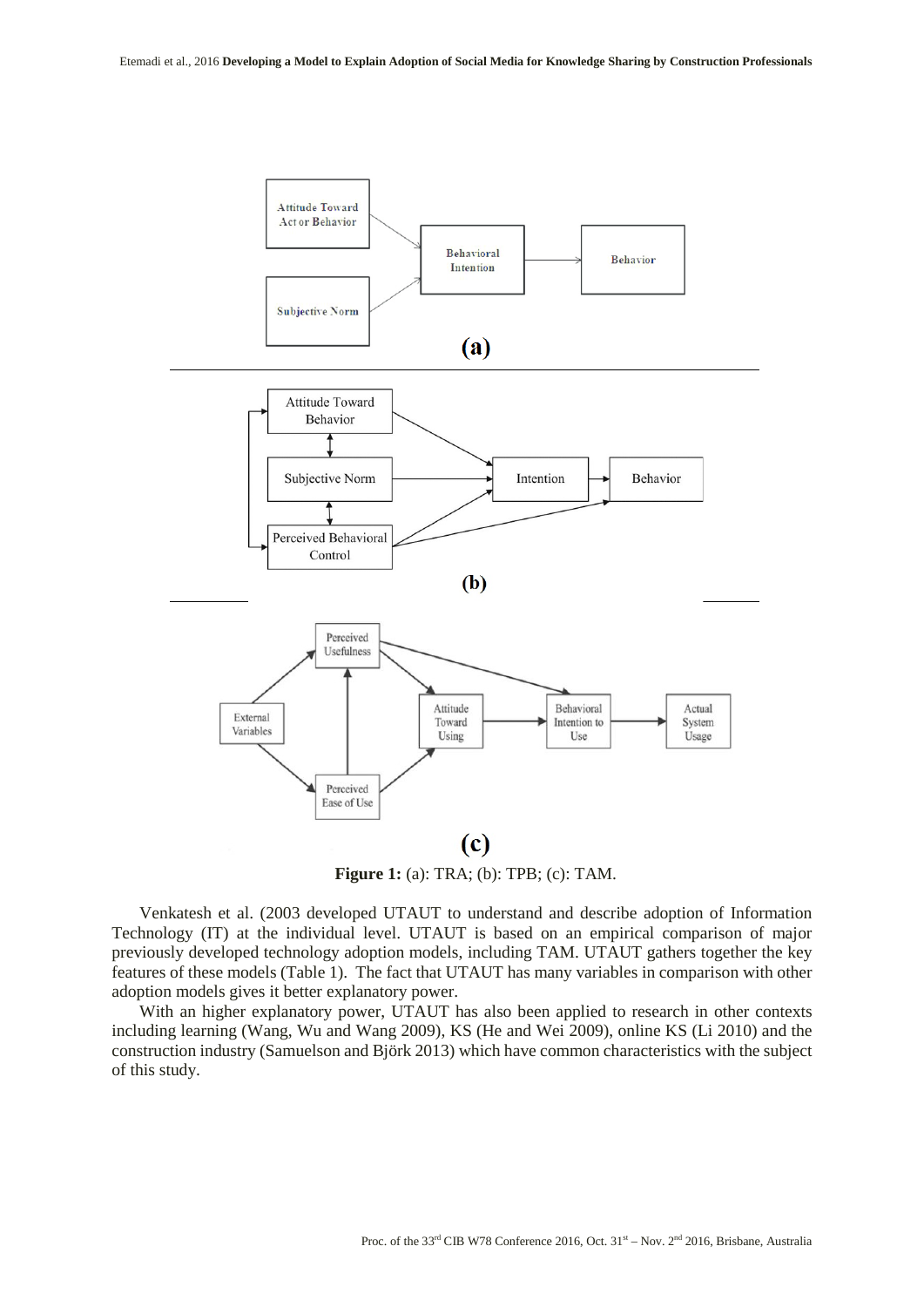

**Figure 1:** (a): TRA; (b): TPB; (c): TAM.

Venkatesh et al. (2003 developed UTAUT to understand and describe adoption of Information Technology (IT) at the individual level. UTAUT is based on an empirical comparison of major previously developed technology adoption models, including TAM. UTAUT gathers together the key features of these models (Table 1). The fact that UTAUT has many variables in comparison with other adoption models gives it better explanatory power.

With an higher explanatory power, UTAUT has also been applied to research in other contexts including learning (Wang, Wu and Wang 2009), KS (He and Wei 2009), online KS (Li 2010) and the construction industry (Samuelson and Björk 2013) which have common characteristics with the subject of this study.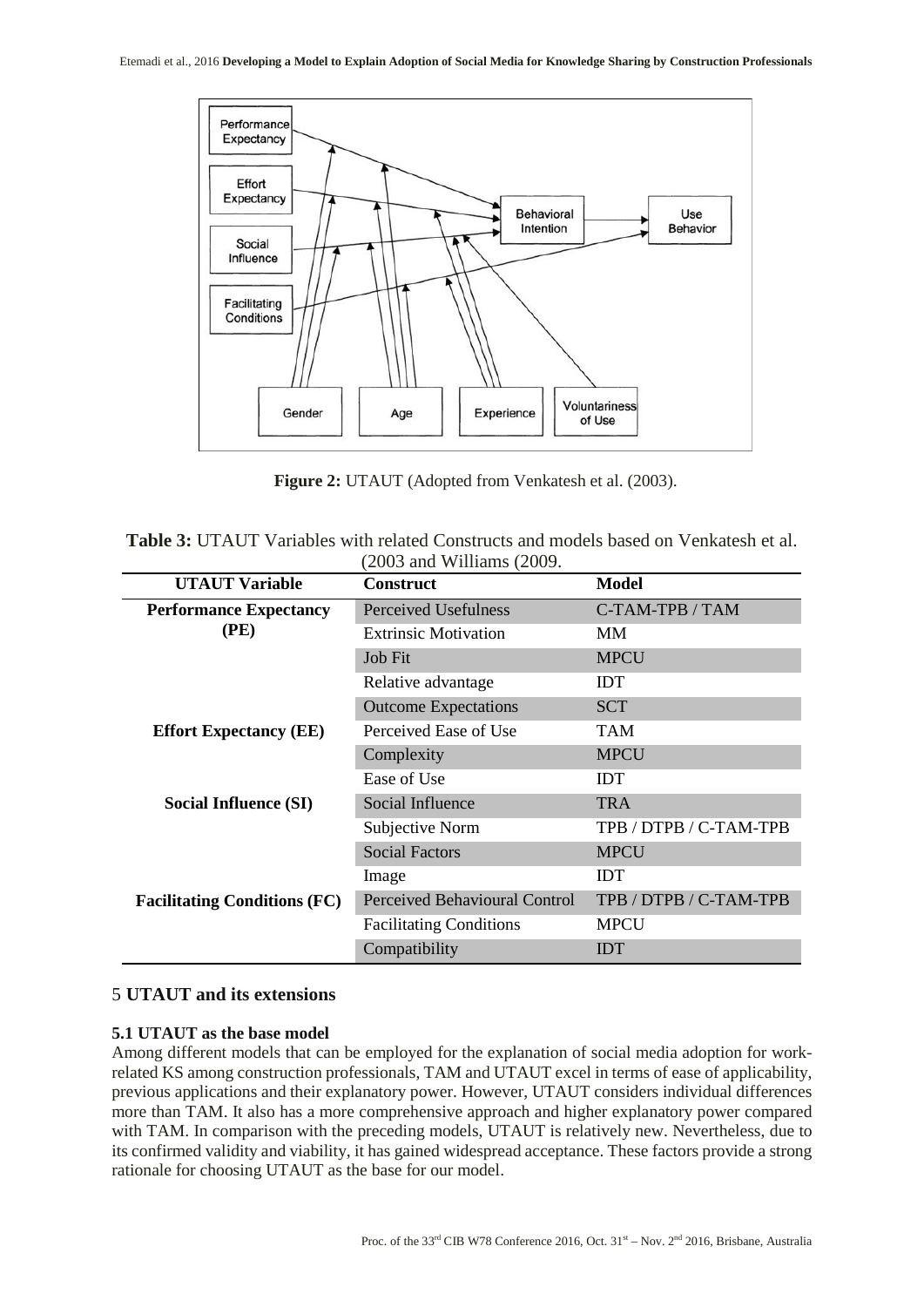

**Figure 2:** UTAUT (Adopted from Venkatesh et al. (2003).

| <b>Table 3:</b> UTAUT Variables with related Constructs and models based on Venkatesh et al. |  |                                      |  |  |
|----------------------------------------------------------------------------------------------|--|--------------------------------------|--|--|
|                                                                                              |  | $(2003 \text{ and Williams } (2009.$ |  |  |

| <b>UTAUT Variable</b>               | <b>Construct</b>               | Model                  |  |  |
|-------------------------------------|--------------------------------|------------------------|--|--|
| <b>Performance Expectancy</b>       | Perceived Usefulness           | C-TAM-TPB / TAM        |  |  |
| (PE)                                | <b>Extrinsic Motivation</b>    | <b>MM</b>              |  |  |
|                                     | Job Fit                        | <b>MPCU</b>            |  |  |
|                                     | Relative advantage             | <b>IDT</b>             |  |  |
|                                     | <b>Outcome Expectations</b>    | <b>SCT</b>             |  |  |
| <b>Effort Expectancy (EE)</b>       | Perceived Ease of Use          | <b>TAM</b>             |  |  |
|                                     | Complexity                     | <b>MPCU</b>            |  |  |
|                                     | Ease of Use                    | <b>IDT</b>             |  |  |
| Social Influence (SI)               | Social Influence               | <b>TRA</b>             |  |  |
|                                     | Subjective Norm                | TPB / DTPB / C-TAM-TPB |  |  |
|                                     | <b>Social Factors</b>          | <b>MPCU</b>            |  |  |
|                                     | Image                          | <b>IDT</b>             |  |  |
| <b>Facilitating Conditions (FC)</b> | Perceived Behavioural Control  | TPB / DTPB / C-TAM-TPB |  |  |
|                                     | <b>Facilitating Conditions</b> | <b>MPCU</b>            |  |  |
|                                     | Compatibility                  | <b>IDT</b>             |  |  |

# 5 **UTAUT and its extensions**

# **5.1 UTAUT as the base model**

Among different models that can be employed for the explanation of social media adoption for workrelated KS among construction professionals, TAM and UTAUT excel in terms of ease of applicability, previous applications and their explanatory power. However, UTAUT considers individual differences more than TAM. It also has a more comprehensive approach and higher explanatory power compared with TAM. In comparison with the preceding models, UTAUT is relatively new. Nevertheless, due to its confirmed validity and viability, it has gained widespread acceptance. These factors provide a strong rationale for choosing UTAUT as the base for our model.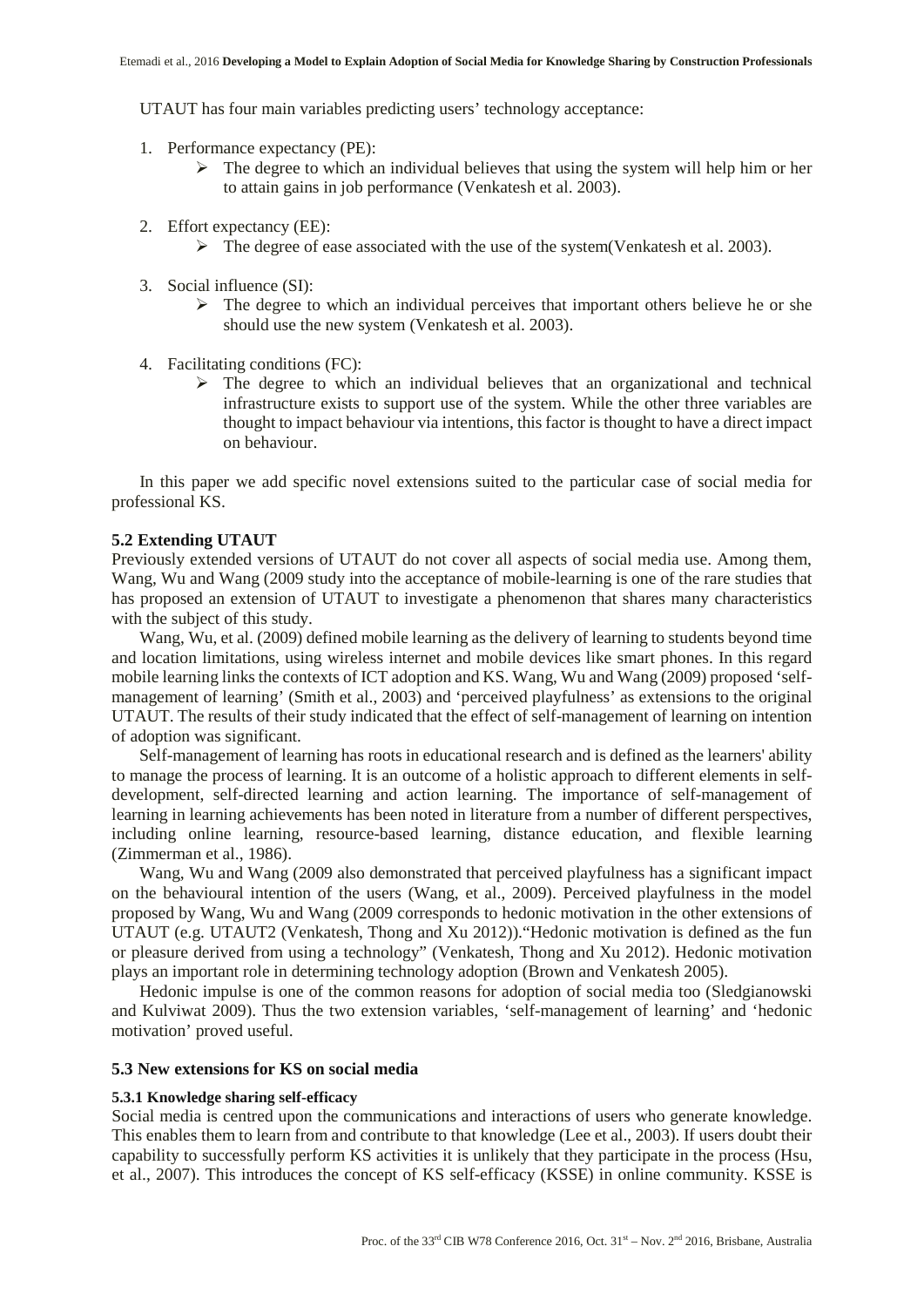UTAUT has four main variables predicting users' technology acceptance:

- 1. Performance expectancy (PE):
	- $\triangleright$  The degree to which an individual believes that using the system will help him or her to attain gains in job performance (Venkatesh et al. 2003).
- 2. Effort expectancy (EE):
	- $\triangleright$  The degree of ease associated with the use of the system (Venkatesh et al. 2003).
- 3. Social influence (SI):
	- $\triangleright$  The degree to which an individual perceives that important others believe he or she should use the new system (Venkatesh et al. 2003).
- 4. Facilitating conditions (FC):
	- $\triangleright$  The degree to which an individual believes that an organizational and technical infrastructure exists to support use of the system. While the other three variables are thought to impact behaviour via intentions, this factor is thought to have a direct impact on behaviour.

In this paper we add specific novel extensions suited to the particular case of social media for professional KS.

## **5.2 Extending UTAUT**

Previously extended versions of UTAUT do not cover all aspects of social media use. Among them, Wang, Wu and Wang (2009 study into the acceptance of mobile-learning is one of the rare studies that has proposed an extension of UTAUT to investigate a phenomenon that shares many characteristics with the subject of this study.

Wang, Wu, et al. (2009) defined mobile learning as the delivery of learning to students beyond time and location limitations, using wireless internet and mobile devices like smart phones. In this regard mobile learning links the contexts of ICT adoption and KS. Wang, Wu and Wang (2009) proposed 'selfmanagement of learning' (Smith et al., 2003) and 'perceived playfulness' as extensions to the original UTAUT. The results of their study indicated that the effect of self-management of learning on intention of adoption was significant.

Self-management of learning has roots in educational research and is defined as the learners' ability to manage the process of learning. It is an outcome of a holistic approach to different elements in selfdevelopment, self-directed learning and action learning. The importance of self-management of learning in learning achievements has been noted in literature from a number of different perspectives, including online learning, resource-based learning, distance education, and flexible learning (Zimmerman et al., 1986).

Wang, Wu and Wang (2009 also demonstrated that perceived playfulness has a significant impact on the behavioural intention of the users (Wang, et al., 2009). Perceived playfulness in the model proposed by Wang, Wu and Wang (2009 corresponds to hedonic motivation in the other extensions of UTAUT (e.g. UTAUT2 (Venkatesh, Thong and Xu 2012))."Hedonic motivation is defined as the fun or pleasure derived from using a technology" (Venkatesh, Thong and Xu 2012). Hedonic motivation plays an important role in determining technology adoption (Brown and Venkatesh 2005).

Hedonic impulse is one of the common reasons for adoption of social media too (Sledgianowski and Kulviwat 2009). Thus the two extension variables, 'self-management of learning' and 'hedonic motivation' proved useful.

## **5.3 New extensions for KS on social media**

## **5.3.1 Knowledge sharing self-efficacy**

Social media is centred upon the communications and interactions of users who generate knowledge. This enables them to learn from and contribute to that knowledge (Lee et al., 2003). If users doubt their capability to successfully perform KS activities it is unlikely that they participate in the process (Hsu, et al., 2007). This introduces the concept of KS self-efficacy (KSSE) in online community. KSSE is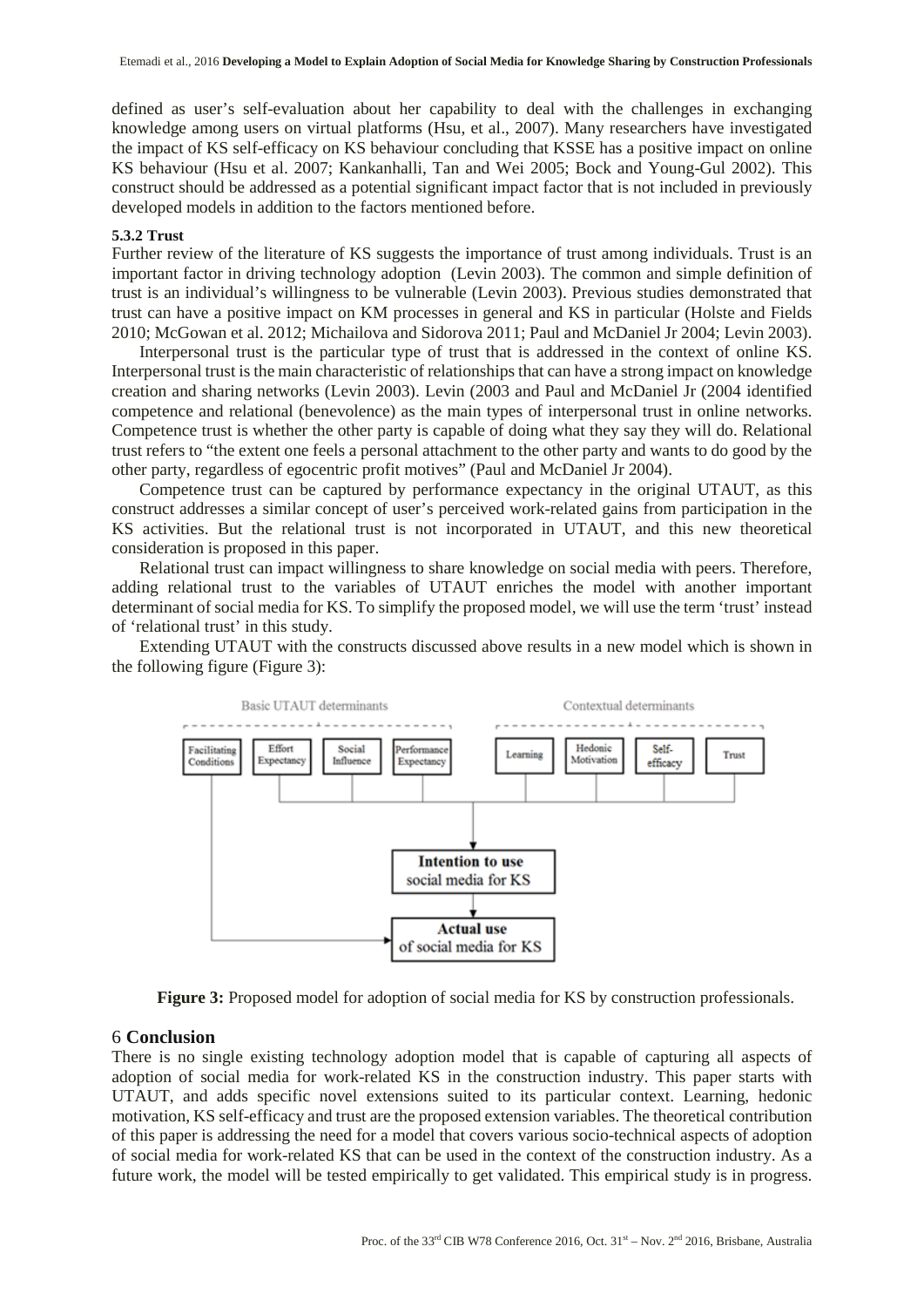defined as user's self-evaluation about her capability to deal with the challenges in exchanging knowledge among users on virtual platforms (Hsu, et al., 2007). Many researchers have investigated the impact of KS self-efficacy on KS behaviour concluding that KSSE has a positive impact on online KS behaviour (Hsu et al. 2007; Kankanhalli, Tan and Wei 2005; Bock and Young-Gul 2002). This construct should be addressed as a potential significant impact factor that is not included in previously developed models in addition to the factors mentioned before.

#### **5.3.2 Trust**

Further review of the literature of KS suggests the importance of trust among individuals. Trust is an important factor in driving technology adoption (Levin 2003). The common and simple definition of trust is an individual's willingness to be vulnerable (Levin 2003). Previous studies demonstrated that trust can have a positive impact on KM processes in general and KS in particular (Holste and Fields 2010; McGowan et al. 2012; Michailova and Sidorova 2011; Paul and McDaniel Jr 2004; Levin 2003).

Interpersonal trust is the particular type of trust that is addressed in the context of online KS. Interpersonal trust is the main characteristic of relationships that can have a strong impact on knowledge creation and sharing networks (Levin 2003). Levin (2003 and Paul and McDaniel Jr (2004 identified competence and relational (benevolence) as the main types of interpersonal trust in online networks. Competence trust is whether the other party is capable of doing what they say they will do. Relational trust refers to "the extent one feels a personal attachment to the other party and wants to do good by the other party, regardless of egocentric profit motives" (Paul and McDaniel Jr 2004).

Competence trust can be captured by performance expectancy in the original UTAUT, as this construct addresses a similar concept of user's perceived work-related gains from participation in the KS activities. But the relational trust is not incorporated in UTAUT, and this new theoretical consideration is proposed in this paper.

Relational trust can impact willingness to share knowledge on social media with peers. Therefore, adding relational trust to the variables of UTAUT enriches the model with another important determinant of social media for KS. To simplify the proposed model, we will use the term 'trust' instead of 'relational trust' in this study.

Extending UTAUT with the constructs discussed above results in a new model which is shown in the following figure (Figure 3):



**Figure 3:** Proposed model for adoption of social media for KS by construction professionals.

## 6 **Conclusion**

There is no single existing technology adoption model that is capable of capturing all aspects of adoption of social media for work-related KS in the construction industry. This paper starts with UTAUT, and adds specific novel extensions suited to its particular context. Learning, hedonic motivation, KS self-efficacy and trust are the proposed extension variables. The theoretical contribution of this paper is addressing the need for a model that covers various socio-technical aspects of adoption of social media for work-related KS that can be used in the context of the construction industry. As a future work, the model will be tested empirically to get validated. This empirical study is in progress.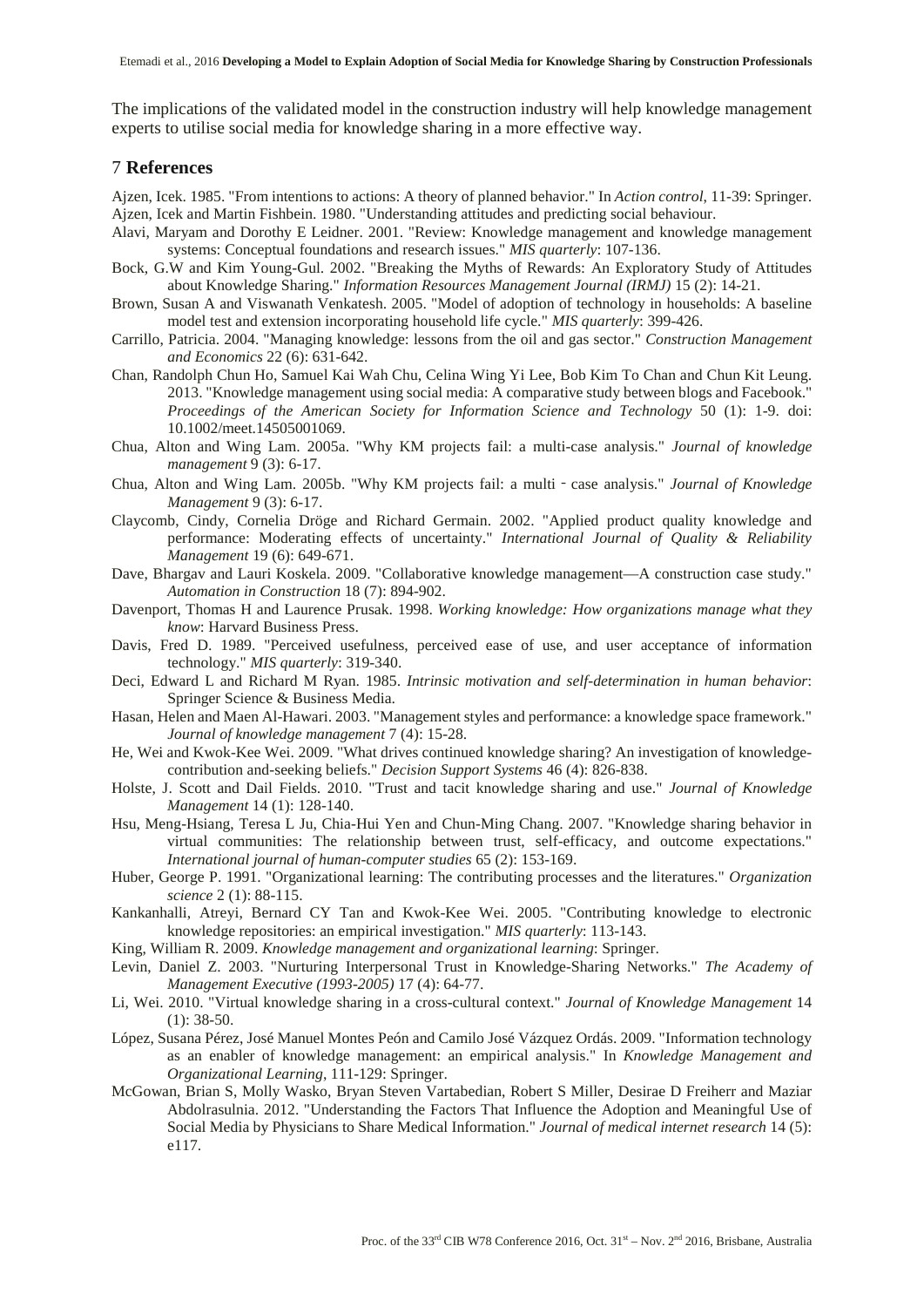The implications of the validated model in the construction industry will help knowledge management experts to utilise social media for knowledge sharing in a more effective way.

## 7 **References**

Ajzen, Icek. 1985. "From intentions to actions: A theory of planned behavior." In *Action control*, 11-39: Springer. Ajzen, Icek and Martin Fishbein. 1980. "Understanding attitudes and predicting social behaviour.

- Alavi, Maryam and Dorothy E Leidner. 2001. "Review: Knowledge management and knowledge management systems: Conceptual foundations and research issues." *MIS quarterly*: 107-136.
- Bock, G.W and Kim Young-Gul. 2002. "Breaking the Myths of Rewards: An Exploratory Study of Attitudes about Knowledge Sharing." *Information Resources Management Journal (IRMJ)* 15 (2): 14-21.
- Brown, Susan A and Viswanath Venkatesh. 2005. "Model of adoption of technology in households: A baseline model test and extension incorporating household life cycle." *MIS quarterly*: 399-426.
- Carrillo, Patricia. 2004. "Managing knowledge: lessons from the oil and gas sector." *Construction Management and Economics* 22 (6): 631-642.
- Chan, Randolph Chun Ho, Samuel Kai Wah Chu, Celina Wing Yi Lee, Bob Kim To Chan and Chun Kit Leung. 2013. "Knowledge management using social media: A comparative study between blogs and Facebook." *Proceedings of the American Society for Information Science and Technology* 50 (1): 1-9. doi: 10.1002/meet.14505001069.
- Chua, Alton and Wing Lam. 2005a. "Why KM projects fail: a multi-case analysis." *Journal of knowledge management* 9 (3): 6-17.
- Chua, Alton and Wing Lam. 2005b. "Why KM projects fail: a multi‐case analysis." *Journal of Knowledge Management* 9 (3): 6-17.
- Claycomb, Cindy, Cornelia Dröge and Richard Germain. 2002. "Applied product quality knowledge and performance: Moderating effects of uncertainty." *International Journal of Quality & Reliability Management* 19 (6): 649-671.
- Dave, Bhargav and Lauri Koskela. 2009. "Collaborative knowledge management—A construction case study." *Automation in Construction* 18 (7): 894-902.
- Davenport, Thomas H and Laurence Prusak. 1998. *Working knowledge: How organizations manage what they know*: Harvard Business Press.
- Davis, Fred D. 1989. "Perceived usefulness, perceived ease of use, and user acceptance of information technology." *MIS quarterly*: 319-340.
- Deci, Edward L and Richard M Ryan. 1985. *Intrinsic motivation and self-determination in human behavior*: Springer Science & Business Media.
- Hasan, Helen and Maen Al-Hawari. 2003. "Management styles and performance: a knowledge space framework." *Journal of knowledge management* 7 (4): 15-28.
- He, Wei and Kwok-Kee Wei. 2009. "What drives continued knowledge sharing? An investigation of knowledgecontribution and-seeking beliefs." *Decision Support Systems* 46 (4): 826-838.
- Holste, J. Scott and Dail Fields. 2010. "Trust and tacit knowledge sharing and use." *Journal of Knowledge Management* 14 (1): 128-140.
- Hsu, Meng-Hsiang, Teresa L Ju, Chia-Hui Yen and Chun-Ming Chang. 2007. "Knowledge sharing behavior in virtual communities: The relationship between trust, self-efficacy, and outcome expectations." *International journal of human-computer studies* 65 (2): 153-169.
- Huber, George P. 1991. "Organizational learning: The contributing processes and the literatures." *Organization science* 2 (1): 88-115.
- Kankanhalli, Atreyi, Bernard CY Tan and Kwok-Kee Wei. 2005. "Contributing knowledge to electronic knowledge repositories: an empirical investigation." *MIS quarterly*: 113-143.
- King, William R. 2009. *Knowledge management and organizational learning*: Springer.
- Levin, Daniel Z. 2003. "Nurturing Interpersonal Trust in Knowledge-Sharing Networks." *The Academy of Management Executive (1993-2005)* 17 (4): 64-77.
- Li, Wei. 2010. "Virtual knowledge sharing in a cross-cultural context." *Journal of Knowledge Management* 14 (1): 38-50.
- López, Susana Pérez, José Manuel Montes Peón and Camilo José Vázquez Ordás. 2009. "Information technology as an enabler of knowledge management: an empirical analysis." In *Knowledge Management and Organizational Learning*, 111-129: Springer.
- McGowan, Brian S, Molly Wasko, Bryan Steven Vartabedian, Robert S Miller, Desirae D Freiherr and Maziar Abdolrasulnia. 2012. "Understanding the Factors That Influence the Adoption and Meaningful Use of Social Media by Physicians to Share Medical Information." *Journal of medical internet research* 14 (5): e117.